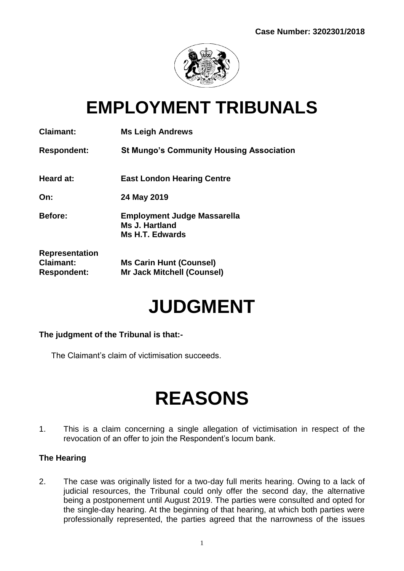

## **EMPLOYMENT TRIBUNALS**

| <b>Claimant:</b>                                                | <b>Ms Leigh Andrews</b>                                                 |
|-----------------------------------------------------------------|-------------------------------------------------------------------------|
| <b>Respondent:</b>                                              | <b>St Mungo's Community Housing Association</b>                         |
| Heard at:                                                       | <b>East London Hearing Centre</b>                                       |
| On:                                                             | 24 May 2019                                                             |
| <b>Before:</b>                                                  | <b>Employment Judge Massarella</b><br>Ms J. Hartland<br>Ms H.T. Edwards |
| <b>Representation</b><br><b>Claimant:</b><br><b>Respondent:</b> | <b>Ms Carin Hunt (Counsel)</b><br><b>Mr Jack Mitchell (Counsel)</b>     |

# **JUDGMENT**

## **The judgment of the Tribunal is that:-**

The Claimant's claim of victimisation succeeds.

# **REASONS**

1. This is a claim concerning a single allegation of victimisation in respect of the revocation of an offer to join the Respondent's locum bank.

## **The Hearing**

2. The case was originally listed for a two-day full merits hearing. Owing to a lack of judicial resources, the Tribunal could only offer the second day, the alternative being a postponement until August 2019. The parties were consulted and opted for the single-day hearing. At the beginning of that hearing, at which both parties were professionally represented, the parties agreed that the narrowness of the issues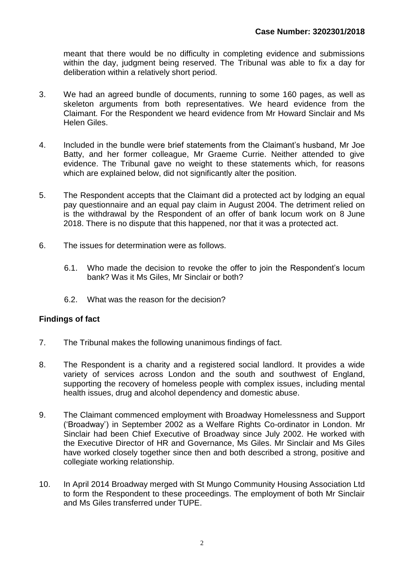meant that there would be no difficulty in completing evidence and submissions within the day, judgment being reserved. The Tribunal was able to fix a day for deliberation within a relatively short period.

- 3. We had an agreed bundle of documents, running to some 160 pages, as well as skeleton arguments from both representatives. We heard evidence from the Claimant. For the Respondent we heard evidence from Mr Howard Sinclair and Ms Helen Giles.
- 4. Included in the bundle were brief statements from the Claimant's husband, Mr Joe Batty, and her former colleague, Mr Graeme Currie. Neither attended to give evidence. The Tribunal gave no weight to these statements which, for reasons which are explained below, did not significantly alter the position.
- 5. The Respondent accepts that the Claimant did a protected act by lodging an equal pay questionnaire and an equal pay claim in August 2004. The detriment relied on is the withdrawal by the Respondent of an offer of bank locum work on 8 June 2018. There is no dispute that this happened, nor that it was a protected act.
- 6. The issues for determination were as follows.
	- 6.1. Who made the decision to revoke the offer to join the Respondent's locum bank? Was it Ms Giles, Mr Sinclair or both?
	- 6.2. What was the reason for the decision?

## **Findings of fact**

- 7. The Tribunal makes the following unanimous findings of fact.
- 8. The Respondent is a charity and a registered social landlord. It provides a wide variety of services across London and the south and southwest of England, supporting the recovery of homeless people with complex issues, including mental health issues, drug and alcohol dependency and domestic abuse.
- 9. The Claimant commenced employment with Broadway Homelessness and Support ('Broadway') in September 2002 as a Welfare Rights Co-ordinator in London. Mr Sinclair had been Chief Executive of Broadway since July 2002. He worked with the Executive Director of HR and Governance, Ms Giles. Mr Sinclair and Ms Giles have worked closely together since then and both described a strong, positive and collegiate working relationship.
- 10. In April 2014 Broadway merged with St Mungo Community Housing Association Ltd to form the Respondent to these proceedings. The employment of both Mr Sinclair and Ms Giles transferred under TUPE.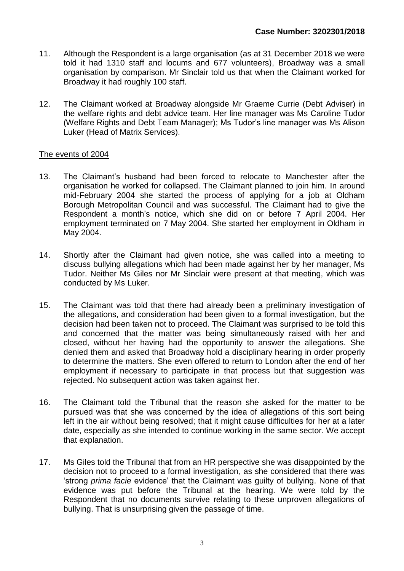- 11. Although the Respondent is a large organisation (as at 31 December 2018 we were told it had 1310 staff and locums and 677 volunteers), Broadway was a small organisation by comparison. Mr Sinclair told us that when the Claimant worked for Broadway it had roughly 100 staff.
- 12. The Claimant worked at Broadway alongside Mr Graeme Currie (Debt Adviser) in the welfare rights and debt advice team. Her line manager was Ms Caroline Tudor (Welfare Rights and Debt Team Manager); Ms Tudor's line manager was Ms Alison Luker (Head of Matrix Services).

#### The events of 2004

- 13. The Claimant's husband had been forced to relocate to Manchester after the organisation he worked for collapsed. The Claimant planned to join him. In around mid-February 2004 she started the process of applying for a job at Oldham Borough Metropolitan Council and was successful. The Claimant had to give the Respondent a month's notice, which she did on or before 7 April 2004. Her employment terminated on 7 May 2004. She started her employment in Oldham in May 2004.
- 14. Shortly after the Claimant had given notice, she was called into a meeting to discuss bullying allegations which had been made against her by her manager, Ms Tudor. Neither Ms Giles nor Mr Sinclair were present at that meeting, which was conducted by Ms Luker.
- 15. The Claimant was told that there had already been a preliminary investigation of the allegations, and consideration had been given to a formal investigation, but the decision had been taken not to proceed. The Claimant was surprised to be told this and concerned that the matter was being simultaneously raised with her and closed, without her having had the opportunity to answer the allegations. She denied them and asked that Broadway hold a disciplinary hearing in order properly to determine the matters. She even offered to return to London after the end of her employment if necessary to participate in that process but that suggestion was rejected. No subsequent action was taken against her.
- 16. The Claimant told the Tribunal that the reason she asked for the matter to be pursued was that she was concerned by the idea of allegations of this sort being left in the air without being resolved; that it might cause difficulties for her at a later date, especially as she intended to continue working in the same sector. We accept that explanation.
- 17. Ms Giles told the Tribunal that from an HR perspective she was disappointed by the decision not to proceed to a formal investigation, as she considered that there was 'strong *prima facie* evidence' that the Claimant was guilty of bullying. None of that evidence was put before the Tribunal at the hearing. We were told by the Respondent that no documents survive relating to these unproven allegations of bullying. That is unsurprising given the passage of time.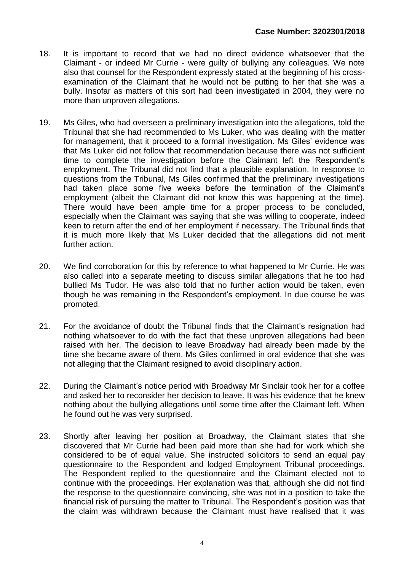- 18. It is important to record that we had no direct evidence whatsoever that the Claimant - or indeed Mr Currie - were guilty of bullying any colleagues. We note also that counsel for the Respondent expressly stated at the beginning of his crossexamination of the Claimant that he would not be putting to her that she was a bully. Insofar as matters of this sort had been investigated in 2004, they were no more than unproven allegations.
- 19. Ms Giles, who had overseen a preliminary investigation into the allegations, told the Tribunal that she had recommended to Ms Luker, who was dealing with the matter for management, that it proceed to a formal investigation. Ms Giles' evidence was that Ms Luker did not follow that recommendation because there was not sufficient time to complete the investigation before the Claimant left the Respondent's employment. The Tribunal did not find that a plausible explanation. In response to questions from the Tribunal, Ms Giles confirmed that the preliminary investigations had taken place some five weeks before the termination of the Claimant's employment (albeit the Claimant did not know this was happening at the time). There would have been ample time for a proper process to be concluded, especially when the Claimant was saying that she was willing to cooperate, indeed keen to return after the end of her employment if necessary. The Tribunal finds that it is much more likely that Ms Luker decided that the allegations did not merit further action.
- 20. We find corroboration for this by reference to what happened to Mr Currie. He was also called into a separate meeting to discuss similar allegations that he too had bullied Ms Tudor. He was also told that no further action would be taken, even though he was remaining in the Respondent's employment. In due course he was promoted.
- 21. For the avoidance of doubt the Tribunal finds that the Claimant's resignation had nothing whatsoever to do with the fact that these unproven allegations had been raised with her. The decision to leave Broadway had already been made by the time she became aware of them. Ms Giles confirmed in oral evidence that she was not alleging that the Claimant resigned to avoid disciplinary action.
- 22. During the Claimant's notice period with Broadway Mr Sinclair took her for a coffee and asked her to reconsider her decision to leave. It was his evidence that he knew nothing about the bullying allegations until some time after the Claimant left. When he found out he was very surprised.
- 23. Shortly after leaving her position at Broadway, the Claimant states that she discovered that Mr Currie had been paid more than she had for work which she considered to be of equal value. She instructed solicitors to send an equal pay questionnaire to the Respondent and lodged Employment Tribunal proceedings. The Respondent replied to the questionnaire and the Claimant elected not to continue with the proceedings. Her explanation was that, although she did not find the response to the questionnaire convincing, she was not in a position to take the financial risk of pursuing the matter to Tribunal. The Respondent's position was that the claim was withdrawn because the Claimant must have realised that it was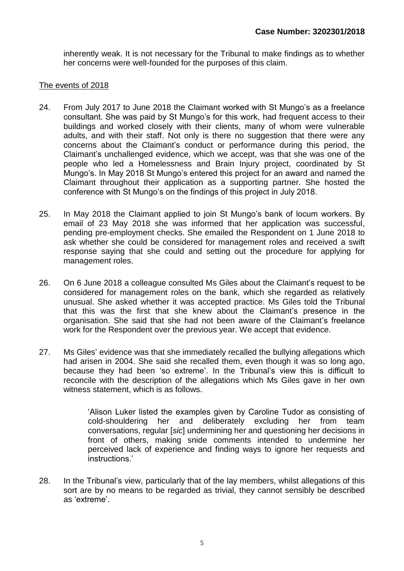inherently weak. It is not necessary for the Tribunal to make findings as to whether her concerns were well-founded for the purposes of this claim.

#### The events of 2018

- 24. From July 2017 to June 2018 the Claimant worked with St Mungo's as a freelance consultant. She was paid by St Mungo's for this work, had frequent access to their buildings and worked closely with their clients, many of whom were vulnerable adults, and with their staff. Not only is there no suggestion that there were any concerns about the Claimant's conduct or performance during this period, the Claimant's unchallenged evidence, which we accept, was that she was one of the people who led a Homelessness and Brain Injury project, coordinated by St Mungo's. In May 2018 St Mungo's entered this project for an award and named the Claimant throughout their application as a supporting partner. She hosted the conference with St Mungo's on the findings of this project in July 2018.
- 25. In May 2018 the Claimant applied to join St Mungo's bank of locum workers. By email of 23 May 2018 she was informed that her application was successful, pending pre-employment checks. She emailed the Respondent on 1 June 2018 to ask whether she could be considered for management roles and received a swift response saying that she could and setting out the procedure for applying for management roles.
- 26. On 6 June 2018 a colleague consulted Ms Giles about the Claimant's request to be considered for management roles on the bank, which she regarded as relatively unusual. She asked whether it was accepted practice. Ms Giles told the Tribunal that this was the first that she knew about the Claimant's presence in the organisation. She said that she had not been aware of the Claimant's freelance work for the Respondent over the previous year. We accept that evidence.
- 27. Ms Giles' evidence was that she immediately recalled the bullying allegations which had arisen in 2004. She said she recalled them, even though it was so long ago, because they had been 'so extreme'. In the Tribunal's view this is difficult to reconcile with the description of the allegations which Ms Giles gave in her own witness statement, which is as follows.

'Alison Luker listed the examples given by Caroline Tudor as consisting of cold-shouldering her and deliberately excluding her from team conversations, regular [*sic*] undermining her and questioning her decisions in front of others, making snide comments intended to undermine her perceived lack of experience and finding ways to ignore her requests and instructions.'

28. In the Tribunal's view, particularly that of the lay members, whilst allegations of this sort are by no means to be regarded as trivial, they cannot sensibly be described as 'extreme'.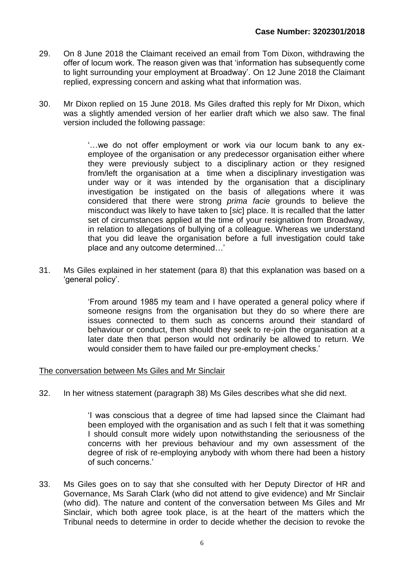- 29. On 8 June 2018 the Claimant received an email from Tom Dixon, withdrawing the offer of locum work. The reason given was that 'information has subsequently come to light surrounding your employment at Broadway'. On 12 June 2018 the Claimant replied, expressing concern and asking what that information was.
- 30. Mr Dixon replied on 15 June 2018. Ms Giles drafted this reply for Mr Dixon, which was a slightly amended version of her earlier draft which we also saw. The final version included the following passage:

'…we do not offer employment or work via our locum bank to any exemployee of the organisation or any predecessor organisation either where they were previously subject to a disciplinary action or they resigned from/left the organisation at a time when a disciplinary investigation was under way or it was intended by the organisation that a disciplinary investigation be instigated on the basis of allegations where it was considered that there were strong *prima facie* grounds to believe the misconduct was likely to have taken to [*sic*] place. It is recalled that the latter set of circumstances applied at the time of your resignation from Broadway, in relation to allegations of bullying of a colleague. Whereas we understand that you did leave the organisation before a full investigation could take place and any outcome determined…'

31. Ms Giles explained in her statement (para 8) that this explanation was based on a 'general policy'.

> 'From around 1985 my team and I have operated a general policy where if someone resigns from the organisation but they do so where there are issues connected to them such as concerns around their standard of behaviour or conduct, then should they seek to re-join the organisation at a later date then that person would not ordinarily be allowed to return. We would consider them to have failed our pre-employment checks.'

#### The conversation between Ms Giles and Mr Sinclair

32. In her witness statement (paragraph 38) Ms Giles describes what she did next.

'I was conscious that a degree of time had lapsed since the Claimant had been employed with the organisation and as such I felt that it was something I should consult more widely upon notwithstanding the seriousness of the concerns with her previous behaviour and my own assessment of the degree of risk of re-employing anybody with whom there had been a history of such concerns.'

33. Ms Giles goes on to say that she consulted with her Deputy Director of HR and Governance, Ms Sarah Clark (who did not attend to give evidence) and Mr Sinclair (who did). The nature and content of the conversation between Ms Giles and Mr Sinclair, which both agree took place, is at the heart of the matters which the Tribunal needs to determine in order to decide whether the decision to revoke the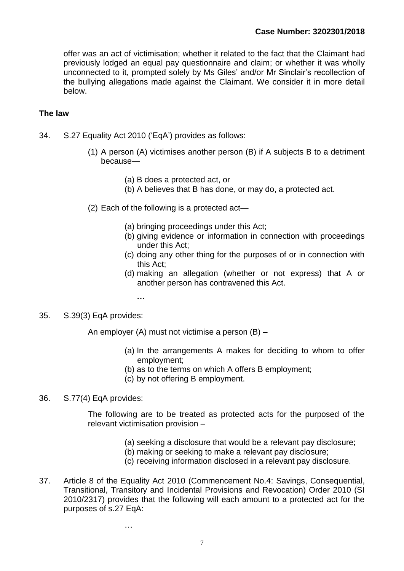offer was an act of victimisation; whether it related to the fact that the Claimant had previously lodged an equal pay questionnaire and claim; or whether it was wholly unconnected to it, prompted solely by Ms Giles' and/or Mr Sinclair's recollection of the bullying allegations made against the Claimant. We consider it in more detail below.

#### **The law**

- 34. S.27 Equality Act 2010 ('EqA') provides as follows:
	- (1) A person (A) victimises another person (B) if A subjects B to a detriment because—
		- (a) B does a protected act, or
		- (b) A believes that B has done, or may do, a protected act.
	- (2) Each of the following is a protected act—
		- (a) bringing proceedings under this Act;
		- (b) giving evidence or information in connection with proceedings under this Act;
		- (c) doing any other thing for the purposes of or in connection with this Act;
		- (d) making an allegation (whether or not express) that A or another person has contravened this Act.
			- **…**

…

#### 35. S.39(3) EqA provides:

An employer (A) must not victimise a person (B) –

- (a) In the arrangements A makes for deciding to whom to offer employment;
- (b) as to the terms on which A offers B employment;
- (c) by not offering B employment.

#### 36. S.77(4) EqA provides:

The following are to be treated as protected acts for the purposed of the relevant victimisation provision –

- (a) seeking a disclosure that would be a relevant pay disclosure;
- (b) making or seeking to make a relevant pay disclosure;
- (c) receiving information disclosed in a relevant pay disclosure.
- 37. Article 8 of the Equality Act 2010 (Commencement No.4: Savings, Consequential, Transitional, Transitory and Incidental Provisions and Revocation) Order 2010 (SI 2010/2317) provides that the following will each amount to a protected act for the purposes of s.27 EqA: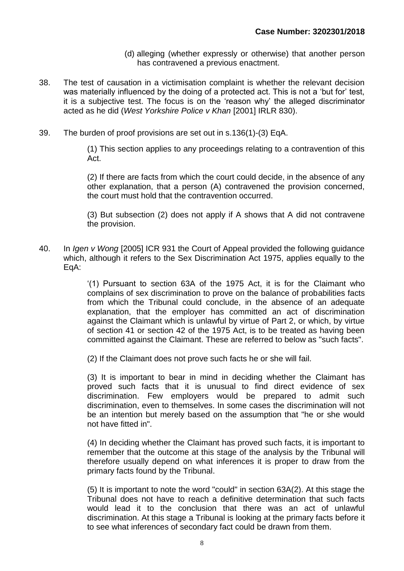- (d) alleging (whether expressly or otherwise) that another person has contravened a previous enactment.
- 38. The test of causation in a victimisation complaint is whether the relevant decision was materially influenced by the doing of a protected act. This is not a 'but for' test, it is a subjective test. The focus is on the 'reason why' the alleged discriminator acted as he did (*West Yorkshire Police v Khan* [2001] IRLR 830).
- 39. The burden of proof provisions are set out in s.136(1)-(3) EqA.

(1) This section applies to any proceedings relating to a contravention of this Act.

(2) If there are facts from which the court could decide, in the absence of any other explanation, that a person (A) contravened the provision concerned, the court must hold that the contravention occurred.

(3) But subsection (2) does not apply if A shows that A did not contravene the provision.

40. In *Igen v Wong* [2005] ICR 931 the Court of Appeal provided the following guidance which, although it refers to the Sex Discrimination Act 1975, applies equally to the EqA:

> '(1) Pursuant to [section 63A](http://login.westlaw.co.uk/maf/wluk/app/document?src=doc&linktype=ref&context=26&crumb-action=replace&docguid=I6F583C10E44911DA8D70A0E70A78ED65) of the 1975 Act, it is for the Claimant who complains of sex discrimination to prove on the balance of probabilities facts from which the Tribunal could conclude, in the absence of an adequate explanation, that the employer has committed an act of discrimination against the Claimant which is unlawful by virtue of Part 2, or which, by virtue of section 41 or [section 42](http://login.westlaw.co.uk/maf/wluk/app/document?src=doc&linktype=ref&context=26&crumb-action=replace&docguid=I6F44DB20E44911DA8D70A0E70A78ED65) of the 1975 Act, is to be treated as having been committed against the Claimant. These are referred to below as "such facts".

(2) If the Claimant does not prove such facts he or she will fail.

(3) It is important to bear in mind in deciding whether the Claimant has proved such facts that it is unusual to find direct evidence of sex discrimination. Few employers would be prepared to admit such discrimination, even to themselves. In some cases the discrimination will not be an intention but merely based on the assumption that "he or she would not have fitted in".

(4) In deciding whether the Claimant has proved such facts, it is important to remember that the outcome at this stage of the analysis by the Tribunal will therefore usually depend on what inferences it is proper to draw from the primary facts found by the Tribunal.

(5) It is important to note the word "could" in section 63A(2). At this stage the Tribunal does not have to reach a definitive determination that such facts would lead it to the conclusion that there was an act of unlawful discrimination. At this stage a Tribunal is looking at the primary facts before it to see what inferences of secondary fact could be drawn from them.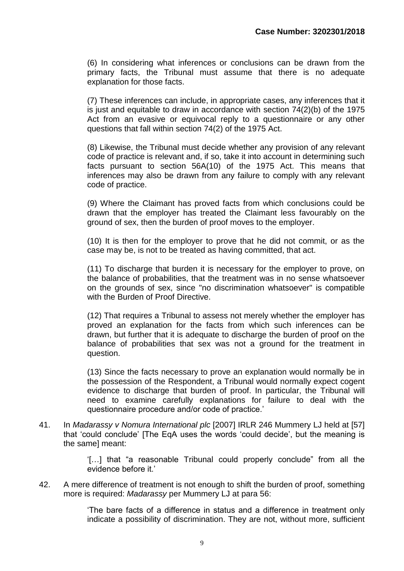(6) In considering what inferences or conclusions can be drawn from the primary facts, the Tribunal must assume that there is no adequate explanation for those facts.

(7) These inferences can include, in appropriate cases, any inferences that it is just and equitable to draw in accordance with [section 74\(2\)\(b\)](http://login.westlaw.co.uk/maf/wluk/app/document?src=doc&linktype=ref&context=26&crumb-action=replace&docguid=I5A37C1C0E44911DA8D70A0E70A78ED65) of the 1975 Act from an evasive or equivocal reply to a questionnaire or any other questions that fall within section 74(2) of the 1975 Act.

(8) Likewise, the Tribunal must decide whether any provision of any relevant code of practice is relevant and, if so, take it into account in determining such facts pursuant to [section 56A\(10\)](http://login.westlaw.co.uk/maf/wluk/app/document?src=doc&linktype=ref&context=26&crumb-action=replace&docguid=IFA924880E44811DA8D70A0E70A78ED65) of the 1975 Act. This means that inferences may also be drawn from any failure to comply with any relevant code of practice.

(9) Where the Claimant has proved facts from which conclusions could be drawn that the employer has treated the Claimant less favourably on the ground of sex, then the burden of proof moves to the employer.

(10) It is then for the employer to prove that he did not commit, or as the case may be, is not to be treated as having committed, that act.

(11) To discharge that burden it is necessary for the employer to prove, on the balance of probabilities, that the treatment was in no sense whatsoever on the grounds of sex, since "no discrimination whatsoever" is compatible with the Burden of Proof Directive.

(12) That requires a Tribunal to assess not merely whether the employer has proved an explanation for the facts from which such inferences can be drawn, but further that it is adequate to discharge the burden of proof on the balance of probabilities that sex was not a ground for the treatment in question.

(13) Since the facts necessary to prove an explanation would normally be in the possession of the Respondent, a Tribunal would normally expect cogent evidence to discharge that burden of proof. In particular, the Tribunal will need to examine carefully explanations for failure to deal with the questionnaire procedure and/or code of practice.'

41. In *Madarassy v Nomura International plc* [2007] IRLR 246 Mummery LJ held at [57] that 'could conclude' [The EqA uses the words 'could decide', but the meaning is the same] meant:

> '[…] that "a reasonable Tribunal could properly conclude" from all the evidence before it.'

42. A mere difference of treatment is not enough to shift the burden of proof, something more is required: *Madarassy* per Mummery LJ at para 56:

> 'The bare facts of a difference in status and a difference in treatment only indicate a possibility of discrimination. They are not, without more, sufficient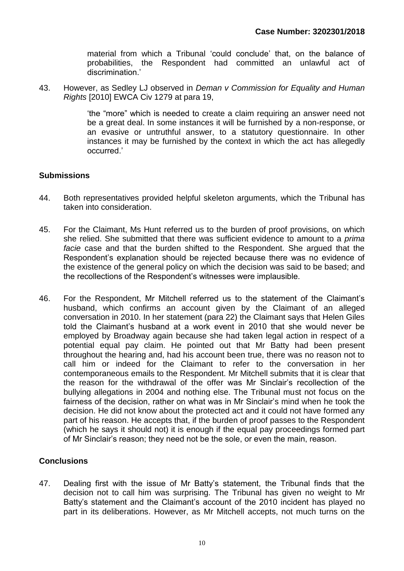material from which a Tribunal 'could conclude' that, on the balance of probabilities, the Respondent had committed an unlawful act of discrimination.'

43. However, as Sedley LJ observed in *Deman v Commission for Equality and Human Rights* [2010] EWCA Civ 1279 at para 19,

> 'the "more" which is needed to create a claim requiring an answer need not be a great deal. In some instances it will be furnished by a non-response, or an evasive or untruthful answer, to a statutory questionnaire. In other instances it may be furnished by the context in which the act has allegedly occurred.'

### **Submissions**

- 44. Both representatives provided helpful skeleton arguments, which the Tribunal has taken into consideration.
- 45. For the Claimant, Ms Hunt referred us to the burden of proof provisions, on which she relied. She submitted that there was sufficient evidence to amount to a *prima facie* case and that the burden shifted to the Respondent. She argued that the Respondent's explanation should be rejected because there was no evidence of the existence of the general policy on which the decision was said to be based; and the recollections of the Respondent's witnesses were implausible.
- 46. For the Respondent, Mr Mitchell referred us to the statement of the Claimant's husband, which confirms an account given by the Claimant of an alleged conversation in 2010. In her statement (para 22) the Claimant says that Helen Giles told the Claimant's husband at a work event in 2010 that she would never be employed by Broadway again because she had taken legal action in respect of a potential equal pay claim. He pointed out that Mr Batty had been present throughout the hearing and, had his account been true, there was no reason not to call him or indeed for the Claimant to refer to the conversation in her contemporaneous emails to the Respondent. Mr Mitchell submits that it is clear that the reason for the withdrawal of the offer was Mr Sinclair's recollection of the bullying allegations in 2004 and nothing else. The Tribunal must not focus on the fairness of the decision, rather on what was in Mr Sinclair's mind when he took the decision. He did not know about the protected act and it could not have formed any part of his reason. He accepts that, if the burden of proof passes to the Respondent (which he says it should not) it is enough if the equal pay proceedings formed part of Mr Sinclair's reason; they need not be the sole, or even the main, reason.

## **Conclusions**

47. Dealing first with the issue of Mr Batty's statement, the Tribunal finds that the decision not to call him was surprising. The Tribunal has given no weight to Mr Batty's statement and the Claimant's account of the 2010 incident has played no part in its deliberations. However, as Mr Mitchell accepts, not much turns on the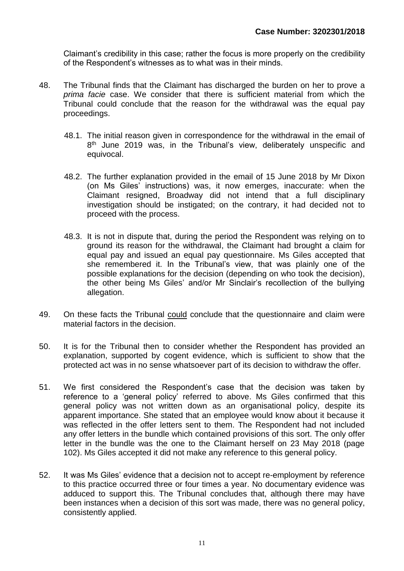Claimant's credibility in this case; rather the focus is more properly on the credibility of the Respondent's witnesses as to what was in their minds.

- 48. The Tribunal finds that the Claimant has discharged the burden on her to prove a *prima facie* case. We consider that there is sufficient material from which the Tribunal could conclude that the reason for the withdrawal was the equal pay proceedings.
	- 48.1. The initial reason given in correspondence for the withdrawal in the email of 8<sup>th</sup> June 2019 was, in the Tribunal's view, deliberately unspecific and equivocal.
	- 48.2. The further explanation provided in the email of 15 June 2018 by Mr Dixon (on Ms Giles' instructions) was, it now emerges, inaccurate: when the Claimant resigned, Broadway did not intend that a full disciplinary investigation should be instigated; on the contrary, it had decided not to proceed with the process.
	- 48.3. It is not in dispute that, during the period the Respondent was relying on to ground its reason for the withdrawal, the Claimant had brought a claim for equal pay and issued an equal pay questionnaire. Ms Giles accepted that she remembered it. In the Tribunal's view, that was plainly one of the possible explanations for the decision (depending on who took the decision), the other being Ms Giles' and/or Mr Sinclair's recollection of the bullying allegation.
- 49. On these facts the Tribunal could conclude that the questionnaire and claim were material factors in the decision.
- 50. It is for the Tribunal then to consider whether the Respondent has provided an explanation, supported by cogent evidence, which is sufficient to show that the protected act was in no sense whatsoever part of its decision to withdraw the offer.
- 51. We first considered the Respondent's case that the decision was taken by reference to a 'general policy' referred to above. Ms Giles confirmed that this general policy was not written down as an organisational policy, despite its apparent importance. She stated that an employee would know about it because it was reflected in the offer letters sent to them. The Respondent had not included any offer letters in the bundle which contained provisions of this sort. The only offer letter in the bundle was the one to the Claimant herself on 23 May 2018 (page 102). Ms Giles accepted it did not make any reference to this general policy.
- 52. It was Ms Giles' evidence that a decision not to accept re-employment by reference to this practice occurred three or four times a year. No documentary evidence was adduced to support this. The Tribunal concludes that, although there may have been instances when a decision of this sort was made, there was no general policy, consistently applied.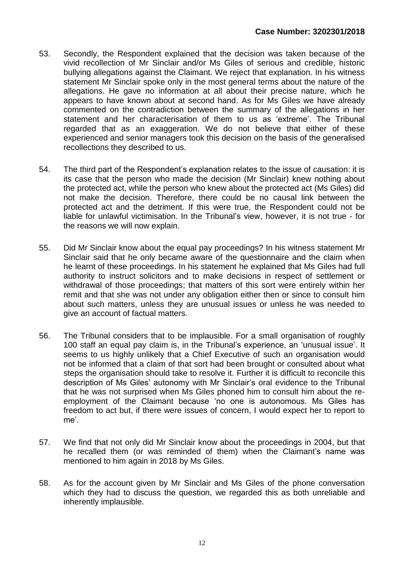- 53. Secondly, the Respondent explained that the decision was taken because of the vivid recollection of Mr Sinclair and/or Ms Giles of serious and credible, historic bullying allegations against the Claimant. We reject that explanation. In his witness statement Mr Sinclair spoke only in the most general terms about the nature of the allegations. He gave no information at all about their precise nature, which he appears to have known about at second hand. As for Ms Giles we have already commented on the contradiction between the summary of the allegations in her statement and her characterisation of them to us as 'extreme'. The Tribunal regarded that as an exaggeration. We do not believe that either of these experienced and senior managers took this decision on the basis of the generalised recollections they described to us.
- 54. The third part of the Respondent's explanation relates to the issue of causation: it is its case that the person who made the decision (Mr Sinclair) knew nothing about the protected act, while the person who knew about the protected act (Ms Giles) did not make the decision. Therefore, there could be no causal link between the protected act and the detriment. If this were true, the Respondent could not be liable for unlawful victimisation. In the Tribunal's view, however, it is not true - for the reasons we will now explain.
- 55. Did Mr Sinclair know about the equal pay proceedings? In his witness statement Mr Sinclair said that he only became aware of the questionnaire and the claim when he learnt of these proceedings. In his statement he explained that Ms Giles had full authority to instruct solicitors and to make decisions in respect of settlement or withdrawal of those proceedings; that matters of this sort were entirely within her remit and that she was not under any obligation either then or since to consult him about such matters, unless they are unusual issues or unless he was needed to give an account of factual matters.
- 56. The Tribunal considers that to be implausible. For a small organisation of roughly 100 staff an equal pay claim is, in the Tribunal's experience, an 'unusual issue'. It seems to us highly unlikely that a Chief Executive of such an organisation would not be informed that a claim of that sort had been brought or consulted about what steps the organisation should take to resolve it. Further it is difficult to reconcile this description of Ms Giles' autonomy with Mr Sinclair's oral evidence to the Tribunal that he was not surprised when Ms Giles phoned him to consult him about the reemployment of the Claimant because 'no one is autonomous. Ms Giles has freedom to act but, if there were issues of concern, I would expect her to report to me'.
- 57. We find that not only did Mr Sinclair know about the proceedings in 2004, but that he recalled them (or was reminded of them) when the Claimant's name was mentioned to him again in 2018 by Ms Giles.
- 58. As for the account given by Mr Sinclair and Ms Giles of the phone conversation which they had to discuss the question, we regarded this as both unreliable and inherently implausible.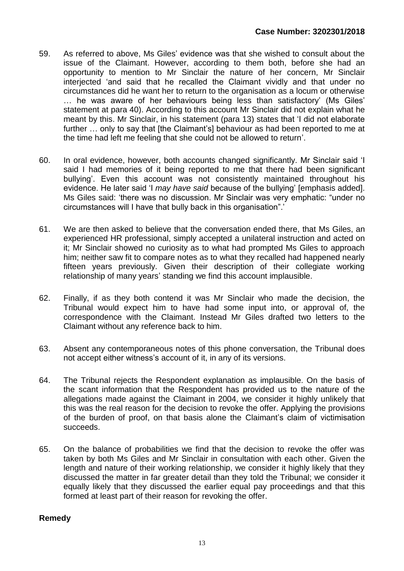- 59. As referred to above, Ms Giles' evidence was that she wished to consult about the issue of the Claimant. However, according to them both, before she had an opportunity to mention to Mr Sinclair the nature of her concern, Mr Sinclair interjected 'and said that he recalled the Claimant vividly and that under no circumstances did he want her to return to the organisation as a locum or otherwise … he was aware of her behaviours being less than satisfactory' (Ms Giles' statement at para 40). According to this account Mr Sinclair did not explain what he meant by this. Mr Sinclair, in his statement (para 13) states that 'I did not elaborate further … only to say that [the Claimant's] behaviour as had been reported to me at the time had left me feeling that she could not be allowed to return'.
- 60. In oral evidence, however, both accounts changed significantly. Mr Sinclair said 'I said I had memories of it being reported to me that there had been significant bullying'. Even this account was not consistently maintained throughout his evidence. He later said 'I *may have said* because of the bullying' [emphasis added]. Ms Giles said: 'there was no discussion. Mr Sinclair was very emphatic: "under no circumstances will I have that bully back in this organisation".'
- 61. We are then asked to believe that the conversation ended there, that Ms Giles, an experienced HR professional, simply accepted a unilateral instruction and acted on it; Mr Sinclair showed no curiosity as to what had prompted Ms Giles to approach him; neither saw fit to compare notes as to what they recalled had happened nearly fifteen years previously. Given their description of their collegiate working relationship of many years' standing we find this account implausible.
- 62. Finally, if as they both contend it was Mr Sinclair who made the decision, the Tribunal would expect him to have had some input into, or approval of, the correspondence with the Claimant. Instead Mr Giles drafted two letters to the Claimant without any reference back to him.
- 63. Absent any contemporaneous notes of this phone conversation, the Tribunal does not accept either witness's account of it, in any of its versions.
- 64. The Tribunal rejects the Respondent explanation as implausible. On the basis of the scant information that the Respondent has provided us to the nature of the allegations made against the Claimant in 2004, we consider it highly unlikely that this was the real reason for the decision to revoke the offer. Applying the provisions of the burden of proof, on that basis alone the Claimant's claim of victimisation succeeds.
- 65. On the balance of probabilities we find that the decision to revoke the offer was taken by both Ms Giles and Mr Sinclair in consultation with each other. Given the length and nature of their working relationship, we consider it highly likely that they discussed the matter in far greater detail than they told the Tribunal; we consider it equally likely that they discussed the earlier equal pay proceedings and that this formed at least part of their reason for revoking the offer.

#### **Remedy**